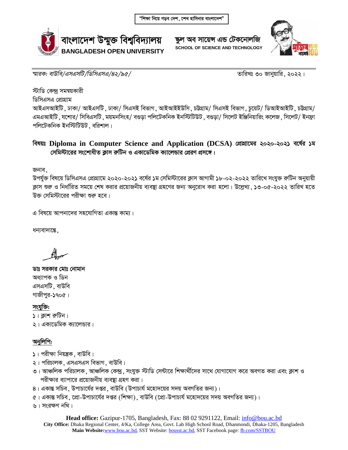

<u>ক্ষ</u>ল অব সায়েন্স এন্ড টেকনোলজি **SCHOOL OF SCIENCE AND TECHNOLOGY**



*শ্মারক: বাউবি/এসএসটি/ডিসিএসএ/৪২/৯৫/* ব্যক্তি সাক্ষরতার সাক্ষরতার সাক্ষরতার সাক্ষরতার ২০২২।

স্টাডি কেন্দ্ৰ সমন্বয়কারী

ডিসিএসএ প্রোগ্রাম

আইএসআইটি, ঢাকা/ আইএসটি, ঢাকা/ সিএসই বিভাগ, আইআইইউসি, চট্টগ্রাম/ সিএসই বিভাগ, চুয়েট/ ডিআইআইটি, চট্টগ্রাম/ এমএআইটি, যশোর/ সিবিএসটি, ময়মনসিংহ/ বগুডা পলিটেকনিক ইনস্টিটিউট, বগুডা/ সিলেট ইঞ্জিনিয়ারিং কলেজ, সিলেট/ ইনফ্রা পলিটেকনিক ইনস্টিটিউট ়বরিশাল।

## **বিষয়ঃ Diploma in Computer Science and Application (DCSA) শ্ৰেঘামের ২০২০-২০২১ বৰ্ষের ১ম**  $\frac{1}{2}$ মেমিস্টারের সংশোধীত ক্রাস রুটিন ও একাডেমিক ক্যালেন্ডার প্রেরণ প্রসঙ্গে।

জনাব.

উপর্যুক্ত বিষয়ে ডিসিএসএ প্রোগ্রামে ২০২০-২০২১ বর্ষের ১ম সেমিস্টারের ক্লাস আগামী ১৮-০২-২০২২ তারিখে সংযুক্ত রুটিন অনুয়ায়ী ক্লাস শুরু ও নির্ধারিত সময়ে শেষ করার প্রয়োজনীয় ব্যবস্থা গ্রহণের জন্য অনুরোধ করা হলো। উল্লেখ্য , ১৩-০৫-২০২২ তারিখ হতে উক্ত সেমিস্টারের পরীক্ষা শুরু হবে।

এ বিষয়ে আপনাদের সহযোগিতা একান্ত কাম্য।

ধন্যবাদান্তে.

ডাঃ সরকার মোঃ নোমান অধ্যাপক ও ডিন এসএসটি, বাউবি গাজীপুর-১৭০৫।

সংযুক্তি: ১। ক্লাশ রুটিন। ২। একাডেমিক ক্যালেন্ডার।

## অনুলিপি:

- $\sqrt{s}$ । পরীক্ষা নিয়ন্ত্রক, বাউবি।
- ২। পরিচালক, এসএসএস বিভাগ, বাউবি।
- ৩। আঞ্চলিক পরিচালক, আঞ্চলিক কেন্দ্র, সংযুক্ত স্টাডি সেন্টারে শিক্ষার্থীদের সাথে যোগাযোগ করে অবগত করা এবং ক্লাশ ও পরীক্ষার ব্যাপারে প্রয়োজনীয় ব্যবস্তা গ্রহণ করা।
- $8$ । একান্ত সচিব, উপাচার্যের দপ্তর, বাউবি (উপাচার্য মহোদয়ের সদয় অবগতির জন্য)।
- $\alpha$ । একান্ত সচিব, প্রো-উপাচার্যের দপ্তর (শিক্ষা), বাউবি (প্রো-উপাচার্য মহোদয়ের সদয় অবগতির জন্য)।

 $6$ । সংরক্ষণ নথি।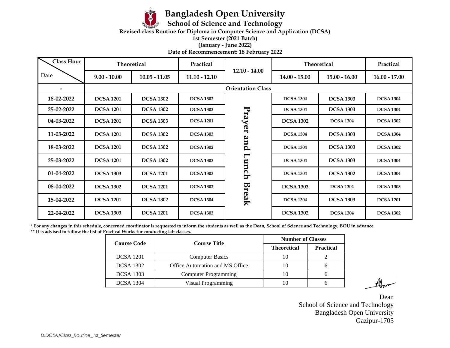

## **Bangladesh Open University**

**School of Science and Technology**

**Revised class Routine for Diploma in Computer Science and Application (DCSA)** 

**1st Semester (2021 Batch)**

**(January - June 2022)**

**Date of Recommencement: 18 February 2022**

| <b>Class Hour</b> |                          | Theoretical      | Practical        |                 | <b>Theoretical</b> |                  | Practical        |
|-------------------|--------------------------|------------------|------------------|-----------------|--------------------|------------------|------------------|
| Date              | $9.00 - 10.00$           | $10.05 - 11.05$  | $11.10 - 12.10$  | $12.10 - 14.00$ | $14.00 - 15.00$    | $15.00 - 16.00$  | $16.00 - 17.00$  |
|                   | <b>Orientation Class</b> |                  |                  |                 |                    |                  |                  |
| 18-02-2022        | <b>DCSA 1201</b>         | <b>DCSA 1302</b> | <b>DCSA 1302</b> |                 | <b>DCSA 1304</b>   | <b>DCSA 1303</b> | <b>DCSA 1304</b> |
| 25-02-2022        | <b>DCSA 1201</b>         | <b>DCSA 1302</b> | <b>DCSA 1303</b> | Prayer          | <b>DCSA 1304</b>   | <b>DCSA 1303</b> | <b>DCSA 1304</b> |
| 04-03-2022        | <b>DCSA 1201</b>         | <b>DCSA 1303</b> | <b>DCSA 1201</b> |                 | <b>DCSA 1302</b>   | <b>DCSA 1304</b> | <b>DCSA 1302</b> |
| 11-03-2022        | <b>DCSA 1201</b>         | <b>DCSA 1302</b> | <b>DCSA 1303</b> |                 | <b>DCSA 1304</b>   | <b>DCSA 1303</b> | <b>DCSA 1304</b> |
| 18-03-2022        | <b>DCSA 1201</b>         | <b>DCSA 1302</b> | <b>DCSA 1302</b> | and             | <b>DCSA 1304</b>   | <b>DCSA 1303</b> | <b>DCSA 1302</b> |
| 25-03-2022        | <b>DCSA 1201</b>         | <b>DCSA 1302</b> | <b>DCSA 1303</b> | Lunch           | <b>DCSA 1304</b>   | <b>DCSA 1303</b> | <b>DCSA 1304</b> |
| 01-04-2022        | <b>DCSA 1303</b>         | <b>DCSA 1201</b> | <b>DCSA 1303</b> | Break           | <b>DCSA 1304</b>   | <b>DCSA 1302</b> | <b>DCSA 1304</b> |
| 08-04-2022        | <b>DCSA 1302</b>         | <b>DCSA 1201</b> | <b>DCSA 1302</b> |                 | <b>DCSA 1303</b>   | <b>DCSA 1304</b> | <b>DCSA 1303</b> |
| 15-04-2022        | <b>DCSA 1201</b>         | <b>DCSA 1302</b> | <b>DCSA 1304</b> |                 | <b>DCSA 1304</b>   | <b>DCSA 1303</b> | <b>DCSA 1201</b> |
| 22-04-2022        | <b>DCSA 1303</b>         | <b>DCSA 1201</b> | <b>DCSA 1303</b> |                 | <b>DCSA 1302</b>   | <b>DCSA 1304</b> | <b>DCSA 1302</b> |

**\* For any changes in this schedule, concerned coordinator is requested to inform the students as well as the Dean, School of Science and Technology, BOU in advance. \*\* It is advised to follow the list of Practical Works for conducting lab classes.**

| <b>Course Code</b> | <b>Course Title</b>             | <b>Number of Classes</b> |                  |  |
|--------------------|---------------------------------|--------------------------|------------------|--|
|                    |                                 | <b>Theoretical</b>       | <b>Practical</b> |  |
| <b>DCSA</b> 1201   | <b>Computer Basics</b>          |                          |                  |  |
| <b>DCSA</b> 1302   | Office Automation and MS Office | 10                       |                  |  |
| <b>DCSA</b> 1303   | <b>Computer Programming</b>     |                          |                  |  |
| <b>DCSA</b> 1304   | Visual Programming              |                          |                  |  |

Dean School of Science and Technology Bangladesh Open University Gazipur-1705